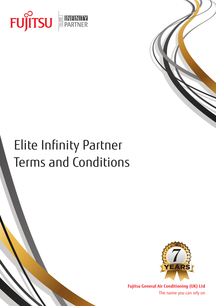



# Elite Infinity Partner Terms and Conditions



**Fujitsu General Air Conditioning (UK) Ltd** The name you can rely on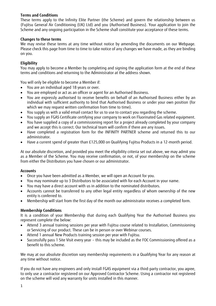#### **Terms and Conditions**

These terms apply to the Infinity Elite Partner (the Scheme) and govern the relationship between us (Fujitsu General Air Conditioning (UK) Ltd) and you (Authorised Business). Your application to join the Scheme and any ongoing participation in the Scheme shall constitute your acceptance of these terms.

#### **Changes to these terms**

We may revise these terms at any time without notice by amending the documents on our Webpage. Please check this page from time to time to take notice of any changes we have made, as they are binding on you.

#### **Eligibility**

You may apply to become a Member by completing and signing the application form at the end of these terms and conditions and returning to the Administrator at the address shown.

You will only be eligible to become a Member if:

- You are an individual aged 18 years or over.
- You are employed or act as an officer or agent for an Authorised Business.
- You are expressly authorised to receive benefits on behalf of an Authorised Business either by an individual with sufficient authority to bind that Authorised Business or under your own position (for which we may request written confirmation from time to time).
- You supply us with a valid email contact for us to use to contact you regarding the scheme.
- You supply an FGAS Certificate certifying your company to work on Fluorinated Gas related equipment.
- You have supplied a copy of a commissioning report for a project already completed by your company and we accept this is correct. Our technical team will confirm if there are any issues.
- Have completed a registration form for the INFINITY PARTNER scheme and returned this to our administrator.
- Have a current spend of greater than £125,000 on Qualifying Fujitsu Products in a 12-month period.

At our absolute discretion, and provided you meet the eligibility criteria set out above, we may admit you as a Member of the Scheme. You may receive confirmation, or not, of your membership on the scheme from either the Distributors you have chosen or our administrator.

#### **Accounts**

- Once you have been admitted as a Member, we will open an Account for you.
- You may nominate up to 3 Distributors to be associated with for each Account in your name.
- You may have a direct account with us in addition to the nominated distributors.
- Accounts cannot be transferred to any other legal entity regardless of whom ownership of the new entity is conferred to.
- Membership will start from the first day of the month our administrator receives a completed form.

#### **Membership Conditions**

It is a condition of your Membership that during each Qualifying Year the Authorised Business you represent complete the below:

- Attend 3 annual training sessions per year with Fujitsu course related to Installation, Commissioning or Servicing of our product. These can be in person or over Webinar courses.
- Attend 1 annual New Products training session per year with Fujitsu.
- Successfully pass 1 Site Visit every year this may be included as the FOC Commissioning offered as a benefit to this scheme.

We may at our absolute discretion vary membership requirements in a Qualifying Year for any reason at any time without notice.

If you do not have any engineers and only install FGAS equipment via a third-party contractor, you agree, to only use a contractor registered on our Approved Contractor Scheme. Using a contractor not registered on the scheme will void any warranty for units installed in this manner.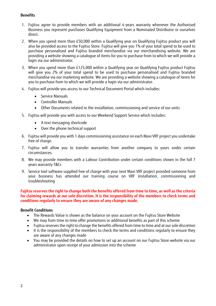#### **Benefits**

- 1. Fujitsu agree to provide members with an additional 4-years warranty whenever the Authorised Business you represent purchases Qualifying Equipment from a Nominated Distributor or ourselves direct.
- 2. When you spend more than £50,000 within a Qualifying year on Qualifying Fujitsu product you will also be provided access to the Fujitsu Store. Fujitsu will give you 1% of your total spend to be used to purchase personalised and Fujitsu branded merchandise via our merchandising website. We are providing a website showing a catalogue of items for you to purchase from to which we will provide a login via our administrator.
- 3. When you spend more than £125,000 within a Qualifying year on Qualifying Fujitsu product Fujitsu will give you 2% of your total spend to be used to purchase personalised and Fujitsu branded merchandise via our marketing website. We are providing a website showing a catalogue of items for you to purchase from to which we will provide a login via our administrator.
- 4. Fujitsu will provide you access to our Technical Document Portal which includes:
	- Service Manuals
	- Controller Manuals
	- Other Documents related to the installation, commissioning and service of our units
- 5. Fujitsu will provide you with access to our Weekend Support Service which includes:
	- A text messaging shortcode
	- Over the phone technical support
- 6. Fujitsu will provide you with 1 days commissioning assistance on each Maxi VRF project you undertake free of charge.
- 7. Fujitsu will allow you to transfer warranties from another company to yours under certain circumstances.
- 8. We may provide members with a Labour Contribution under certain conditions shown in the full 7 years warranty T&Cs
- 9. Service tool software supplied free of charge with your next Maxi VRF project provided someone from your business has attended our training course on VRF installation, commissioning and troubleshooting

#### **Fujitsu reserves the right to change both the benefits offered from time to time, as well as the criteria for claiming rewards at our sole discretion. It is the responsibility of the members to check terms and conditions regularly to ensure they are aware of any changes made.**

#### **Benefit Conditions**

- The Rewards Value is shown as the balance on your account on the Fujitsu Store Website
- We may from time to time offer promotions or additional benefits as part of this scheme
- Fujitsu reserves the right to change the benefits offered from time to time and at our sole discretion
- It is the responsibility of the members to check the terms and conditions regularly to ensure they are aware of any changes made
- You may be provided the details on how to set up an account on our Fujitsu Store website via our administrator upon receipt of your admission into the scheme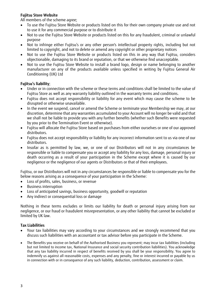#### **Fujitsu Store Website**

All members of the scheme agree;

- To use the Fujitsu Store Website or products listed on this for their own company private use and not to use it for any commercial purpose or to distribute it
- Not to use the Fujitsu Store Website or products listed on this for any fraudulent, criminal or unlawful purpose
- Not to infringe either Fujitsu's or any other person's intellectual property rights, including but not limited to copyright, and not to delete or amend any copyright or other proprietary notices
- Not to use the Fujitsu Store Website or products listed on this in any way that Fujitsu, considers objectionable, damaging to its brand or reputation, or that we otherwise find unacceptable.
- Not to use the Fujitsu Store Website to install a brand logo, design or name belonging to another manufacturer on any of the products available unless specified in writing by Fujitsu General Air Conditioning (UK) Ltd

#### **Fujitsu's liability**;

- Under or in connection with the scheme or these terms and conditions shall be limited to the value of Fujitsu Store as well as any warranty liability outlined in the warranty terms and conditions.
- Fujitsu does not accept responsibility or liability for any event which may cause the scheme to be disrupted or otherwise unavailable.
- In the event we suspend, cancel or amend the Scheme or terminate your Membership we may, at our discretion, determine that any warranties accumulated to your Account will no longer be valid and that we shall not be liable to provide you with any further benefits (whether such Benefits were requested by you prior to the Termination Event or otherwise).
- Fujitsu will allocate the Fujitsu Store based on purchases from either ourselves or one of our approved distributors.
- Fujitsu does not accept responsibility or liability for any incorrect information sent to us via one of our distributors.
- Insofar as is permitted by law, we, or one of our Distributors will not in any circumstances be responsible or liable to compensate you or accept any liability for any loss, damage, personal injury or death occurring as a result of your participation in the Scheme except where it is caused by our negligence or the negligence of our agents or Distributors or that of their employees.

Fujitsu, or our Distributors will not in any circumstances be responsible or liable to compensate you for the below reasons arising as a consequence of your participation in the Scheme:

- Loss of profits, sales, business, or revenue
- Business interruption
- Loss of anticipated savings, business opportunity, goodwill or reputation
- Any indirect or consequential loss or damage

Nothing in these terms excludes or limits our liability for death or personal injury arising from our negligence, or our fraud or fraudulent misrepresentation, or any other liability that cannot be excluded or limited by UK law.

#### **Tax Liabilities**

- Your tax liabilities may vary according to your circumstances and we strongly recommend that you discuss such liabilities with an accountant or tax advisor before you participate in the Scheme.
- The Benefits you receive on behalf of the Authorised Business you represent; may incur tax liabilities (including but not limited to income tax, National Insurance and social security contribution liabilities). You acknowledge that any tax liability incurred in respect of benefits received by you shall be your responsibility. You agree to indemnify us against all reasonable costs, expenses and any penalty, fine or interest incurred or payable by us in connection with or in consequence of any such liability, deduction, contribution, assessment or claim.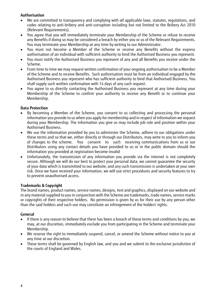#### **Authorisation**

- We are committed to transparency and complying with all applicable laws, statutes, regulations, and codes relating to anti-bribery and anti-corruption including but not limited to the Bribery Act 2010 (Relevant Requirements).
- You agree that you will immediately terminate your Membership of the Scheme or refuse to receive any Benefits if doing so may be considered a breach by either you or us of the Relevant Requirements. You may terminate your Membership at any time by writing to our Administrator.
- You must not become a Member of the Scheme or receive any Benefits without the express authorisation of an individual with sufficient authority to bind the Authorised Business you represent.
- You must notify the Authorised Business you represent of any and all Benefits you receive under the Scheme.
- From time to time we may request written confirmation of your ongoing authorisation to be a Member of the Scheme and to receive Benefits. Such authorisation must be from an individual engaged by the Authorised Business you represent who has sufficient authority to bind that Authorised Business. You shall supply such written confirmation with 14 days of any such request.
- You agree to us directly contacting the Authorised Business you represent at any time during your Membership of the Scheme to confirm your authority to receive any Benefit or to continue your Membership.

#### **Data Protection**

- By becoming a Member of the Scheme, you consent to us collecting and processing the personal information you provide to us when you apply for membership and in respect of information we request during your Membership. The information you give us may include job role and position within your Authorised Business.
- We use the information provided by you to administer the Scheme, adhere to our obligations under these terms and so that we, either directly or through our Distributors, may write to you to inform you of changes to the scheme. You consent to such receiving communications from us or our Distributors using any contact details you have provided to us or in the public domain should the information you provided at registration become invalid
- Unfortunately, the transmission of any information you provide via the internet is not completely secure. Although we will do our best to protect your personal data, we cannot guarantee the security of your data which is transmitted to our website; and any such transmission is undertaken at your own risk. Once we have received your information, we will use strict procedures and security features to try to prevent unauthorised access.

#### **Trademarks & Copyright**

The brand names, product names, service names, designs, text and graphics, displayed on our website and in any material supplied to you in conjunction with the Scheme are trademarks, trade names, service marks or copyrights of their respective holders. No permission is given by us for their use by any person other than the said holders and such use may constitute an infringement of the holders' rights.

#### **General**

- If there is any reason to believe that there has been a breach of these terms and conditions by you, we may, at our discretion, immediately exclude you from participating in the Scheme and terminate your Membership.
- We reserve the right to immediately suspend, cancel, or amend the Scheme without notice to you at any time at our discretion.
- These terms shall be governed by English law, and you and we submit to the exclusive jurisdiction of the courts of England and Wales.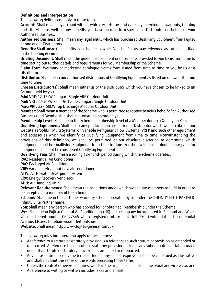#### **Definitions and Interpretation**

The following definitions apply to these terms:

**Account:** Shall mean any account with us which records the start date of your extended warranty, training and site visits as well as any benefits you have accrued in respect of a Distributor on behalf of your Authorised Business.

**Authorised Business:** Shall mean any legal entity which has purchased Qualifying Equipment from Fujitsu or one of our Distributors.

**Benefits:** Shall mean the benefits in exchange for which Voucher Points may redeemed as further specified in the briefing document

**Briefing Document:** Shall mean the guideline document or documents provided to you by us from time to time setting out further details and requirements for you Membership of the Scheme.

**Claim Form:** Warranty or marketing catalogue claims form issued from time to time to you by us or a Distributor.

**Distributor:** Shall mean our authorised distributors of Qualifying Equipment as listed on our website from time to time.

**Chosen Distributor(s)**: Shall mean either us or the Distributor which you have chosen to be linked to an Account held by you.

**Mini VRF:** 12-15kW Compact Single VRF Outdoor Unit

**Midi VRF:** 22-50kW Side Discharge Compact Single Outdoor Unit

**Maxi VRF:** 22-150kW Top Discharge Modular Outdoor Unit

**Member:** Shall mean a member of the Scheme who is permitted to receive benefits behalf of an Authorised Business (and Membership shall be construed accordingly).

**Membership Level:** Shall mean the Scheme membership level of a Member during a Qualifying Year.

**Qualifying Equipment:** Shall mean any products purchased from a Distributor which we describe on our website as 'Splits', 'Multi Systems' or 'Variable Refrigerant Flow Systems (VRF)' and such other equipment and accessories which we identify as Qualifying Equipment from time to time. Notwithstanding the provisions of this definition, we shall be permitted at our absolute discretion to determine which equipment shall be Qualifying Equipment from time to time. For the avoidance of doubt spare parts for equipment shall not be considered Qualifying Equipment.

**Qualifying Year:** Shall mean a rolling 12-month period during which the scheme operates.

**RAC:** Residential Air Conditioner

**PAC: Packaged Air Conditioner** 

**VRF:** Variable refrigerant flow air conditioner

**ATW:** Air to water Heat-pump system

**ERV:** Energy Recovery Ventilator

**AHU:** Air Handling Unit

**Relevant Requirements:** Shall mean the conditions under which we require members to fulfil in order to be accepted as a member of the scheme

**Scheme:** Shall mean the customer warranty scheme operated by us under the "INFINITY ELITE PARTNER" Infinity Elite Partner name.

**You:** Shall mean any person who has applied for, or obtained, Membership under the Scheme.

**We:** Shall mean Fujitsu General Air Conditioning (UK) Ltd a company incorporated in England and Wales with registered number 06277345 whose registered office is at Unit 150, Centennial Park, Centennial Avenue, Elstree, Borehamwood, Hertfordshire

**Website:** Shall mean http://www.fujitsu-general.com/uk

The following rules interpretation apply to these terms:

- A reference to a statute or statutory provision is a reference to such statute or provision as amended or re-enacted. A reference to a statute or statutory provision includes any subordinate legislation made under that statute or statutory provision, as amended or re-enacted.
- Any phrase introduced by the terms including any similar expression shall be construed as illustrative and shall not limit the sense of the words preceding those terms;
- Unless the context otherwise requires, words in the singular shall include the plural and vice versa; and
- A reference to writing or written includes faxes and emails.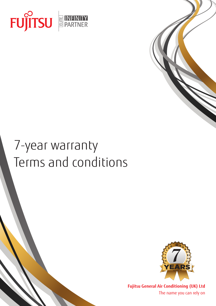



# 7-year warranty Terms and conditions



**Fujitsu General Air Conditioning (UK) Ltd** The name you can rely on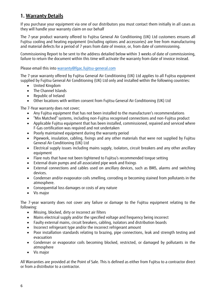# **1. Warranty Details**

If you purchase your equipment via one of our distributors you must contact them initially in all cases as they will handle your warranty claim on our behalf

The 7-year product warranty offered to Fujitsu General Air Conditioning (UK) Ltd customers ensures all Fujitsu cooling and heating equipment (including options and accessories) are free from manufacturing and material defects for a period of 7 years from date of invoice, or, from date of commissioning.

Commissioning Report to be sent to the address detailed below within 3 weeks of date of commissioning, failure to return the document within this time will activate the warranty from date of invoice instead.

Please email this into [warranty@fgac.fujitsu-general.com](mailto:warranty@fgac.fujitsu-general.com)

The 7-year warranty offered by Fujitsu General Air Conditioning (UK) Ltd applies to all Fujitsu equipment supplied by Fujitsu General Air Conditioning (UK) Ltd only and installed within the following countries:

- United Kingdom
- The Channel Islands
- Republic of Ireland
- Other locations with written consent from Fujitsu General Air Conditioning (UK) Ltd

The 7-Year warranty does not cover;

- Any Fujitsu equipment that has not been installed to the manufacturer's recommendations
- "Mix Matched" systems, including non-Fujitsu recognised connections and non-Fujitsu product
- Applicable Fujitsu equipment that has been installed, commissioned, repaired and serviced where F-Gas certification was required and not undertaken
- Poorly maintained equipment during the warranty period
- Pipework, insulation, cabling, fixings and any other materials that were not supplied by Fujitsu General Air Conditioning (UK) Ltd
- Electrical supply issues including mains supply, isolators, circuit breakers and any other ancillary equipment
- Flare nuts that have not been tightened to Fujitsu's recommended torque setting
- External drain pumps and all associated pipe work and fixings
- External connections and cables used on ancillary devices, such as BMS, alarms and switching devices.
- Condenser and/or evaporator coils smelling, corroding or becoming stained from pollutants in the atmosphere.
- Consequential loss damages or costs of any nature
- Vis major

The 7-year warranty does not cover any failure or damage to the Fujitsu equipment relating to the following:

- Missing, blocked, dirty or incorrect air filters
- Mains electrical supply and/or the specified voltage and frequency being incorrect
- Faulty external mains, circuit breakers, cabling, isolators and distribution boards
- Incorrect refrigerant type and/or the incorrect refrigerant amount
- Poor installation standards relating to brazing, pipe connections, leak and strength testing and evacuation
- Condenser or evaporator coils becoming blocked, restricted, or damaged by pollutants in the atmosphere
- Vis major

All Warranties are provided at the Point of Sale. This is defined as either from Fujitsu to a contractor direct or from a distributor to a contractor.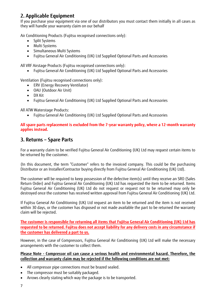# **2. Applicable Equipment**

If you purchase your equipment via one of our distributors you must contact them initially in all cases as they will handle your warranty claim on our behalf

Air Conditioning Products (Fujitsu recognised connections only):

- Split Systems
- Multi Systems
- Simultaneous Multi Systems
- Fujitsu General Air Conditioning (UK) Ltd Supplied Optional Parts and Accessories

All VRF Airstage Products (Fujitsu recognised connections only):

• Fujitsu General Air Conditioning (UK) Ltd Supplied Optional Parts and Accessories

Ventilation (Fujitsu recognised connections only):

- ERV (Energy Recovery Ventilator)
- OAU (Outdoor Air Unit)
- DX Kit
- Fujitsu General Air Conditioning (UK) Ltd Supplied Optional Parts and Accessories

All ATW Waterstage Products:

• Fujitsu General Air Conditioning (UK) Ltd Supplied Optional Parts and Accessories

#### **All spare parts replacement is excluded from the 7-year warranty policy, where a 12-month warranty applies instead.**

## **3. Returns – Spare Parts**

For a warranty claim to be verified Fujitsu General Air Conditioning (UK) Ltd may request certain items to be returned by the customer.

(In this document, the term "Customer" refers to the invoiced company. This could be the purchasing Distributor or an Installer/Contractor buying directly from Fujitsu General Air Conditioning (UK) Ltd).

The customer will be required to keep possession of the defective item(s) until they receive an SRO (Sales Return Order) and Fujitsu General Air Conditioning (UK) Ltd has requested the item to be returned. Items Fujitsu General Air Conditioning (UK) Ltd do not request or request not to be returned may only be destroyed once the customer has received written approval from Fujitsu General Air Conditioning (UK) Ltd.

If Fujitsu General Air Conditioning (UK) Ltd request an item to be returned and the item is not received within 30 days, or the customer has disposed or not made available the part to be returned the warranty claim will be rejected.

**The customer is responsible for returning all items that Fujitsu General Air Conditioning (UK) Ltd has requested to be returned. Fujitsu does not accept liability for any delivery costs in any circumstance if the customer has delivered a part to us.**

However, in the case of Compressors, Fujitsu General Air Conditioning (UK) Ltd will make the necessary arrangements with the customer to collect them.

#### **Please Note - Compressor oil can cause a serious health and environmental hazard. Therefore, the collection and warranty claim may be rejected if the following conditions are not met:**

- All compressor pipe connections must be brazed sealed.
- The compressor must be suitably packaged.
- Arrows clearly stating which way the package is to be transported.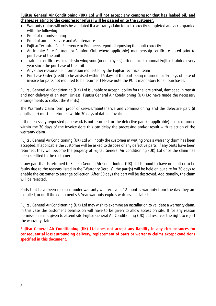#### **Fujitsu General Air Conditioning (UK) Ltd will not accept any compressor that has leaked oil, and charges relating to the compressor refusal will be passed on to the customer.**

- Warranty claims will only be validated if a warranty claim form is correctly completed and accompanied with the following:
- Proof of commissioning
- Proof of annual Service and Maintenance
- Fujitsu Technical Call Reference or Engineers report diagnosing the fault correctly
- An Infinity Elite Partner (or Comfort Club where applicable) membership certificate dated prior to purchase of the unit
- Training certificates or cards showing your (or employees) attendance to annual Fujitsu training every year since the purchase of the unit
- Any other reasonable information requested by the Fujitsu Technical team
- Purchase Order (credit to be advised within 14 days of the part being returned, or 14 days of date of invoice for parts not required to be returned) Please note the PO is mandatory for all purchases.

Fujitsu General Air Conditioning (UK) Ltd is unable to accept liability for the late arrival, damaged in transit and non-delivery of an item. Unless, Fujitsu General Air Conditioning (UK) Ltd have made the necessary arrangements to collect the item(s)

The Warranty Claim form, proof of service/maintenance and commissioning and the defective part (if applicable) must be returned within 30 days of date of invoice.

If the necessary requested paperwork is not returned, or the defective part (if applicable) is not returned within the 30 days of the invoice date this can delay the processing and/or result with rejection of the warranty claim

Fujitsu General Air Conditioning (UK) Ltd will notify the customer in writing once a warranty claim has been accepted. If applicable the customer will be asked to dispose of any defective parts, if any parts have been returned, they will become the property of Fujitsu General Air Conditioning (UK) Ltd once the claim has been credited to the customer.

If any part that is returned to Fujitsu General Air Conditioning (UK) Ltd is found to have no fault or to be faulty due to the reasons listed in the "Warranty Details", the part(s) will be held on our site for 30 days to enable the customer to arrange collection. After 30 days the part will be destroyed. Additionally, the claim will be rejected.

Parts that have been replaced under warranty will receive a 12 months warranty from the day they are installed, or until the equipment's 5-Year warranty expires whichever is latest.

Fujitsu General Air Conditioning (UK) Ltd may wish to examine an installation to validate a warranty claim. In this case the customer's permission will have to be given to allow access on site. If for any reason permission is not given to attend site Fujitsu General Air Conditioning (UK) Ltd reserves the right to reject the warranty claim.

**Fujitsu General Air Conditioning (UK) Ltd does not accept any liability in any circumstances for consequential loss surrounding delivery, replacement of parts or warranty claims except conditions specified in this document.**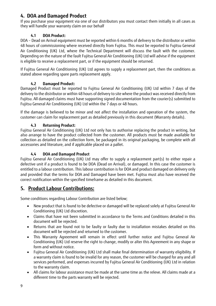# **4. DOA and Damaged Product**

If you purchase your equipment via one of our distributors you must contact them initially in all cases as they will handle your warranty claim on our behalf

### **4.1 DOA Product:**

DOA – Dead on Arrival equipment must be reported within 6 months of delivery to the distributor or within 48 hours of commissioning where received directly from Fujitsu. This must be reported to Fujitsu General Air Conditioning (UK) Ltd, where the Technical Department will discuss the fault with the customer. Depending on the nature of the fault Fujitsu General Air Conditioning (UK) Ltd will advise if the equipment is eligible to receive a replacement part, or if the equipment should be returned.

If Fujitsu General Air Conditioning (UK) Ltd agrees to supply a replacement part, then the conditions as stated above regarding spare parts replacement apply.

## **4.2 Damaged Product:**

Damaged Product must be reported to Fujitsu General Air Conditioning (UK) Ltd within 7 days of the delivery to the distributor or within 48 hours of delivery to site where the product was received directly from Fujitsu. All damaged claims must have supporting signed documentation from the courier(s) submitted to Fujitsu General Air Conditioning (UK) Ltd within the 7 days or 48 hours.

If the damage is believed to be minor and not affect the installation and operation of the system, the customer can claim for replacement part as detailed previously in this document (Warranty details).

## **4.3 Returning Product:**

Fujitsu General Air Conditioning (UK) Ltd not only has to authorise replacing the product in writing, but also arrange to have the product collected from the customer. All products must be made available for collection as detailed on the collection form, be packaged in its original packaging, be complete with all accessories and literature, and if applicable placed on a pallet.

### **4.4 DOA and Damaged Product**

Fujitsu General Air Conditioning (UK) Ltd may offer to supply a replacement part(s) to either repair a defective unit if a product is found to be DOA (Dead on Arrival), or damaged. In this case the customer is entitled to a labour contribution. This labour contribution is for DOA and product damaged on delivery only and provided that the terms for DOA and Damaged have been met. Fujitsu must also have received the correct notification within the specified timeframe as detailed in this document.

## **5. Product Labour Contributions:**

Some conditions regarding Labour Contribution are listed below;

- New product that is found to be defective or damaged will be replaced solely at Fujitsu General Air Conditioning (UK) Ltd discretion.
- Claims that have not been submitted in accordance to the Terms and Conditions detailed in this document will be rejected.
- Returns that are found not to be faulty or faulty due to installation mistakes detailed on this document will be rejected and returned to the customer.
- This Warranty Agreement will remain in effect until further notice and Fujitsu General Air Conditioning (UK) Ltd reserve the right to change, modify or alter this Agreement in any shape or form and without notice.
- Fujitsu General Air Conditioning (UK) Ltd shall make final determination of warranty eligibility. If a warranty claim is found to be invalid for any reason, the customer will be charged for any and all services performed, and expenses incurred by Fujitsu General Air Conditioning (UK) Ltd in relation to the warranty claim.
- All claims for labour assistance must be made at the same time as the releve. All claims made at a different time to the parts warranty will be rejected.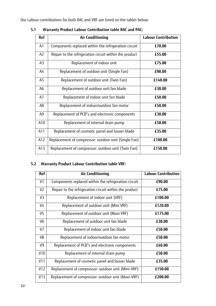Our Labour contributions for both RAC and VRF are listed on the tables below:

| <b>Ref</b>     | <b>Air Conditioning</b>                                | <b>Labour Contribution</b> |
|----------------|--------------------------------------------------------|----------------------------|
| A1             | Components replaced within the refrigeration circuit   | £70.00                     |
| A2             | Repair to the refrigeration circuit within the product | £55.00                     |
| A <sub>3</sub> | Replacement of indoor unit                             | £75.00                     |
| A4             | Replacement of outdoor unit (Single Fan)               | £90.00                     |
| A5             | Replacement of outdoor unit (Twin Fan)                 | £140.00                    |
| A <sub>6</sub> | Replacement of outdoor unit fan blade                  | £30.00                     |
| A7             | Replacement of indoor unit fan blade                   | £50.00                     |
| A <sub>8</sub> | Replacement of indoor/outdoor fan motor                | £50.00                     |
| A <sub>9</sub> | Replacement of PCB"s and electronic components         | £30.00                     |
| A10            | Replacement of internal drain pump                     | £50.00                     |
| A11            | Replacement of cosmetic panel and louver blade         | £35.00                     |
| A12            | Replacement of compressor: outdoor unit (Single Fan)   | £100.00                    |
| A13            | Replacement of compressor: outdoor unit (Twin Fan)     | £150.00                    |

**5.1 Warranty Product Labour Contribution table RAC and PAC:** 

## **5.2 Warranty Product Labour Contribution table VRF:**

| <b>Ref</b>     | <b>Air Conditioning</b>                                | <b>Labour Contribution</b> |
|----------------|--------------------------------------------------------|----------------------------|
| V1             | Components replaced within the refrigeration circuit   | £90.00                     |
| V <sub>2</sub> | Repair to the refrigeration circuit within the product | £75.00                     |
| V3             | Replacement of indoor unit (VRF)                       | £100.00                    |
| V <sub>4</sub> | Replacement of outdoor unit (Mini VRF)                 | £120.00                    |
| V5             | Replacement of outdoor unit (Maxi VRF)                 | £175.00                    |
| V <sub>6</sub> | Replacement of outdoor unit fan blade                  | £30.00                     |
| V7             | Replacement of indoor unit fan blade                   | £50.00                     |
| V <sub>8</sub> | Replacement of indoor/outdoor fan motor                | £50.00                     |
| V <sub>9</sub> | Replacement of PCB"s and electronic components         | £40.00                     |
| V10            | Replacement of internal drain pump                     | £50.00                     |
| V11            | Replacement of cosmetic panel and louver blade         | £35.00                     |
| V12            | Replacement of compressor: outdoor unit (Mini-VRF)     | £150.00                    |
| V13            | Replacement of compressor: outdoor unit (Maxi-VRF)     | £200.00                    |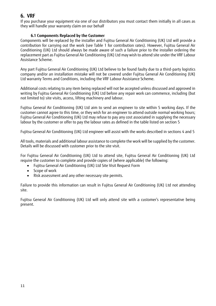# **6. VRF**

If you purchase your equipment via one of our distributors you must contact them initially in all cases as they will handle your warranty claim on our behalf

#### **6.1 Components Replaced by the Customer**

Components will be replaced by the installer and Fujitsu General Air Conditioning (UK) Ltd will provide a contribution for carrying out the work (see Table 1 for contribution rates). However, Fujitsu General Air Conditioning (UK) Ltd should always be made aware of such a failure prior to the installer ordering the replacement part as Fujitsu General Air Conditioning (UK) Ltd may wish to attend site under the VRF Labour Assistance Scheme.

Any part Fujitsu General Air Conditioning (UK) Ltd believe to be found faulty due to a third-party logistics company and/or an installation mistake will not be covered under Fujitsu General Air Conditioning (UK) Ltd warranty Terms and Conditions, including the VRF Labour Assistance Scheme.

Additional costs relating to any item being replaced will not be accepted unless discussed and approved in writing by Fujitsu General Air Conditioning (UK) Ltd before any repair work can commence, including (but not limited to) site visits, access, lifting machinery and labour.

Fujitsu General Air Conditioning (UK) Ltd aim to send an engineer to site within 5 working days. If the customer cannot agree to this time, or they wish for an engineer to attend outside normal working hours; Fujitsu General Air Conditioning (UK) Ltd may refuse to pay any cost associated in supplying the necessary labour by the customer or offer to pay the labour rates as defined in the table listed on section 5

Fujitsu General Air Conditioning (UK) Ltd engineer will assist with the works described in sections 4 and 5

All tools, materials and additional labour assistance to complete the work will be supplied by the customer. Details will be discussed with customer prior to the site visit.

For Fujitsu General Air Conditioning (UK) Ltd to attend site, Fujitsu General Air Conditioning (UK) Ltd require the customer to complete and provide copies of (where applicable) the following:

- Fujitsu General Air Conditioning (UK) Ltd Site Visit Request Form
- Scope of work
- Risk assessment and any other necessary site permits.

Failure to provide this information can result in Fujitsu General Air Conditioning (UK) Ltd not attending site.

Fujitsu General Air Conditioning (UK) Ltd will only attend site with a customer's representative being present.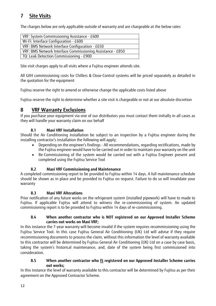# **7 Site Visits**

The charges below are only applicable outside of warranty and are chargeable at the below rates

| VRF: System Commissioning Assistance - £600                |  |  |
|------------------------------------------------------------|--|--|
| Wi-Fi: Interface Configuration - £600                      |  |  |
| VRF: BMS Network Interface Configuration - £650            |  |  |
| VRF: BMS Network Interface Commissioning Assistance - £850 |  |  |
| TQ: Leak Detection Commissioning - £900                    |  |  |

Site visit charges apply to all visits where a Fujitsu engineer attends site.

All GIIH commissioning costs for Chillers & Close-Control systems will be priced separately as detailed in the quotation for the equipment

Fujitsu reserve the right to amend or otherwise change the applicable costs listed above

Fujitsu reserve the right to determine whether a site visit is chargeable or not at our absolute discretion

## **8 VRF Warranty Exclusions**

If you purchase your equipment via one of our distributors you must contact them initially in all cases as they will handle your warranty claim on our behalf

#### **8.1 Maxi VRF Installation**

Should the Air Conditioning installation be subject to an inspection by a Fujitsu engineer during the installing contractor's installation the following will apply;

- Depending on the engineer's findings All recommendations, regarding rectifications, made by the Fujitsu engineer would have to be carried out in order to maintain your warranty on the unit
- Re-Commissioning of the system would be carried out with a Fujitsu Engineer present and completed using the Fujitsu Service Tool

#### **8.2 Maxi VRF Commissioning and Maintenance**

A completed commissioning report to be provided to Fujitsu within 14 days. A full maintenance schedule should be shown as in place and be provided to Fujitsu on request. Failure to do so will invalidate your warranty

#### **8.3 Maxi VRF Alterations**

Prior notification of any future works on the refrigerant system (installed pipework) will have to made to Fujitsu. If applicable Fujitsu will attend to witness the re-commissioning of system. An updated commissioning report is to be provided to Fujitsu within 14 days of re-commissioning.

#### **8.4 When another contractor who is NOT registered on our Approved Installer Scheme carries out works on Maxi VRF;**

In this instance the 7-year warranty will become invalid if the system requires recommissioning using the Fujitsu Service Tool. In this case Fujitsu General Air Conditioning (UK) Ltd will advise if they require recommissioning documents to process the claim, without this information the level of warranty available to this contractor will be determined by Fujitsu General Air Conditioning (UK) Ltd on a case by case basis, taking the system's historical maintenance, and, date of the system being first commissioned into consideration.

#### **8.5 When another contractor who IS registered on our Approved Installer Scheme carries out works;**

In this instance the level of warranty available to this contractor will be determined by Fujitsu as per their agreement on the Approved Contractor Scheme.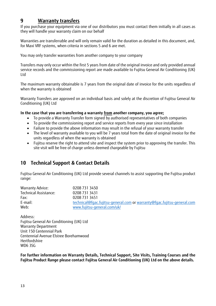## **9 Warranty transfers**

If you purchase your equipment via one of our distributors you must contact them initially in all cases as they will handle your warranty claim on our behalf

Warranties are transferrable and will only remain valid for the duration as detailed in this document, and, for Maxi VRF systems, when criteria in sections 5 and 6 are met.

You may only transfer warranties from another company to your company

Transfers may only occur within the first 5 years from date of the original invoice and only provided annual service records and the commissioning report are made available to Fujitsu General Air Conditioning (UK) Ltd

The maximum warranty obtainable is 7 years from the original date of invoice for the units regardless of when the warranty is obtained

Warranty Transfers are approved on an individual basis and solely at the discretion of Fujitsu General Air Conditioning (UK) Ltd

#### **In the case that you are transferring a warranty from another company, you agree;**

- To provide a Warranty Transfer form signed by authorised representatives of both companies
- To provide the commissioning report and service reports from every year since installation
- Failure to provide the above information may result in the refusal of your warranty transfer
- The level of warranty available to you will be 7 years total from the date of original invoice for the units regardless of when the warranty is obtained
- Fujitsu reserve the right to attend site and inspect the system prior to approving the transfer. This site visit will be free of charge unless deemed chargeable by Fujitsu

## **10 Technical Support & Contact Details**

Fujitsu General Air Conditioning (UK) Ltd provide several channels to assist supporting the Fujitsu product range:

| Warranty Advice:      | 0208 731 3450                                                           |
|-----------------------|-------------------------------------------------------------------------|
| Technical Assistance: | 0208 731 3431                                                           |
| Fax:                  | 0208 731 3451                                                           |
| E-mail:               | technical@fqac.fujitsu-general.com or warranty@fqac.fujitsu-general.com |
| Web:                  | www.fujitsu-general.com/uk/                                             |

Address: Fujitsu General Air Conditioning (UK) Ltd Warranty Department Unit 150 Centennial Park Centennial Avenue Elstree Borehamwood Hertfordshire WD6 3SG

**For further information on Warranty Details, Technical Support, Site Visits, Training Courses and the Fujitsu Product Range please contact Fujitsu General Air Conditioning (UK) Ltd on the above details.**